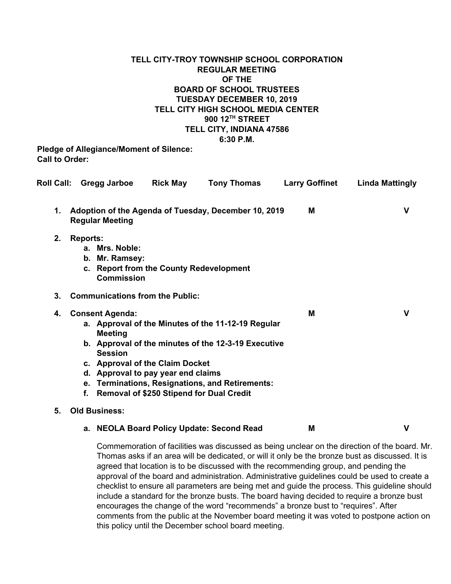### **TELL CITY-TROY TOWNSHIP SCHOOL CORPORATION REGULAR MEETING OF THE BOARD OF SCHOOL TRUSTEES TUESDAY DECEMBER 10, 2019 TELL CITY HIGH SCHOOL MEDIA CENTER 900 12 TH STREET TELL CITY, INDIANA 47586 6:30 P.M.**

**Pledge of Allegiance/Moment of Silence: Call to Order:**

|    |                                                                                                                                                                                                                                                                                                                                                              | Roll Call: Gregg Jarboe                               | <b>Rick May</b>                        | <b>Tony Thomas</b>                                   | <b>Larry Goffinet</b> | <b>Linda Mattingly</b> |
|----|--------------------------------------------------------------------------------------------------------------------------------------------------------------------------------------------------------------------------------------------------------------------------------------------------------------------------------------------------------------|-------------------------------------------------------|----------------------------------------|------------------------------------------------------|-----------------------|------------------------|
| 1. |                                                                                                                                                                                                                                                                                                                                                              | <b>Regular Meeting</b>                                |                                        | Adoption of the Agenda of Tuesday, December 10, 2019 | м                     | v                      |
| 2. | <b>Reports:</b>                                                                                                                                                                                                                                                                                                                                              | a. Mrs. Noble:<br>b. Mr. Ramsey:<br><b>Commission</b> |                                        | c. Report from the County Redevelopment              |                       |                        |
| 3. |                                                                                                                                                                                                                                                                                                                                                              |                                                       | <b>Communications from the Public:</b> |                                                      |                       |                        |
| 4. | <b>Consent Agenda:</b><br>a. Approval of the Minutes of the 11-12-19 Regular<br><b>Meeting</b><br>b. Approval of the minutes of the 12-3-19 Executive<br><b>Session</b><br>c. Approval of the Claim Docket<br>d. Approval to pay year end claims<br>e. Terminations, Resignations, and Retirements:<br><b>Removal of \$250 Stipend for Dual Credit</b><br>f. |                                                       |                                        |                                                      | M                     | v                      |
| 5. |                                                                                                                                                                                                                                                                                                                                                              | <b>Old Business:</b>                                  |                                        |                                                      |                       |                        |
|    |                                                                                                                                                                                                                                                                                                                                                              |                                                       |                                        | a. NEOLA Board Policy Update: Second Read            | M                     | ۷                      |

Commemoration of facilities was discussed as being unclear on the direction of the board. Mr. Thomas asks if an area will be dedicated, or will it only be the bronze bust as discussed. It is agreed that location is to be discussed with the recommending group, and pending the approval of the board and administration. Administrative guidelines could be used to create a checklist to ensure all parameters are being met and guide the process. This guideline should include a standard for the bronze busts. The board having decided to require a bronze bust encourages the change of the word "recommends" a bronze bust to "requires". After comments from the public at the November board meeting it was voted to postpone action on this policy until the December school board meeting.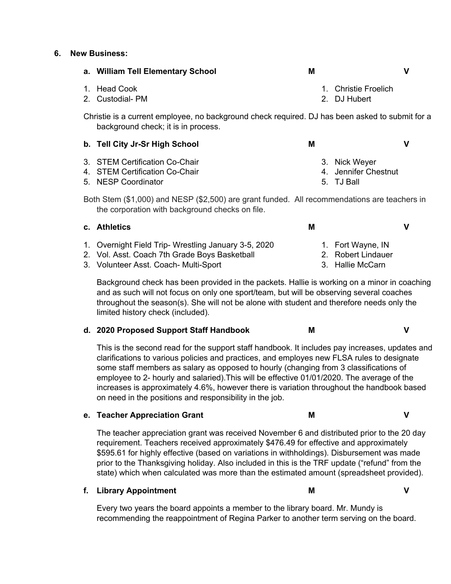#### **6. New Business:**

| a. William Tell Elementary School                                                                                                               | M                                                   | ۷ |  |  |  |  |  |
|-------------------------------------------------------------------------------------------------------------------------------------------------|-----------------------------------------------------|---|--|--|--|--|--|
| <b>Head Cook</b><br>1.<br>2. Custodial-PM                                                                                                       | 1. Christie Froelich<br>2. DJ Hubert                |   |  |  |  |  |  |
| Christie is a current employee, no background check required. DJ has been asked to submit for a<br>background check; it is in process.          |                                                     |   |  |  |  |  |  |
| b. Tell City Jr-Sr High School                                                                                                                  | M                                                   | V |  |  |  |  |  |
| 3. STEM Certification Co-Chair<br>4. STEM Certification Co-Chair<br>5. NESP Coordinator                                                         | 3. Nick Weyer<br>4. Jennifer Chestnut<br>5. TJ Ball |   |  |  |  |  |  |
| Both Stem (\$1,000) and NESP (\$2,500) are grant funded. All recommendations are teachers in<br>the corporation with background checks on file. |                                                     |   |  |  |  |  |  |
| c. Athletics                                                                                                                                    | M                                                   | V |  |  |  |  |  |
| 1. Overnight Field Trip- Wrestling January 3-5, 2020                                                                                            | 1. Fort Wayne, IN                                   |   |  |  |  |  |  |

- 2. Vol. Asst. Coach 7th Grade Boys Basketball
- 3. Volunteer Asst. Coach- Multi-Sport

Background check has been provided in the packets. Hallie is working on a minor in coaching and as such will not focus on only one sport/team, but will be observing several coaches throughout the season(s). She will not be alone with student and therefore needs only the limited history check (included).

2. Robert Lindauer 3. Hallie McCarn

### **d. 2020 Proposed Support Staff Handbook M V**

This is the second read for the support staff handbook. It includes pay increases, updates and clarifications to various policies and practices, and employes new FLSA rules to designate some staff members as salary as opposed to hourly (changing from 3 classifications of employee to 2- hourly and salaried).This will be effective 01/01/2020. The average of the increases is approximately 4.6%, however there is variation throughout the handbook based on need in the positions and responsibility in the job.

### **e. Teacher Appreciation Grant M V**

The teacher appreciation grant was received November 6 and distributed prior to the 20 day requirement. Teachers received approximately \$476.49 for effective and approximately \$595.61 for highly effective (based on variations in withholdings). Disbursement was made prior to the Thanksgiving holiday. Also included in this is the TRF update ("refund" from the state) which when calculated was more than the estimated amount (spreadsheet provided).

### **f. Library Appointment M V**

Every two years the board appoints a member to the library board. Mr. Mundy is recommending the reappointment of Regina Parker to another term serving on the board.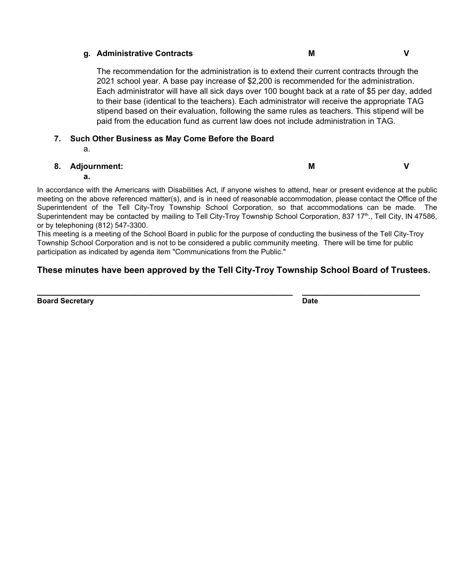### **g. Administrative Contracts M V**

The recommendation for the administration is to extend their current contracts through the 2021 school year. A base pay increase of \$2,200 is recommended for the administration. Each administrator will have all sick days over 100 bought back at a rate of \$5 per day, added to their base (identical to the teachers). Each administrator will receive the appropriate TAG stipend based on their evaluation, following the same rules as teachers. This stipend will be paid from the education fund as current law does not include administration in TAG.

# **7. Such Other Business as May Come Before the Board**

a.

## **8. Adjournment:**

**M V**

### **a.**

In accordance with the Americans with Disabilities Act, if anyone wishes to attend, hear or present evidence at the public meeting on the above referenced matter(s), and is in need of reasonable accommodation, please contact the Office of the Superintendent of the Tell City-Troy Township School Corporation, so that accommodations can be made. The Superintendent may be contacted by mailing to Tell City-Troy Township School Corporation, 837 17<sup>th</sup>., Tell City, IN 47586, or by telephoning (812) 547-3300.

This meeting is a meeting of the School Board in public for the purpose of conducting the business of the Tell City-Troy Township School Corporation and is not to be considered a public community meeting. There will be time for public participation as indicated by agenda item "Communications from the Public."

# **These minutes have been approved by the Tell City-Troy Township School Board of Trustees.**

**\_\_\_\_\_\_\_\_\_\_\_\_\_\_\_\_\_\_\_\_\_\_\_\_\_\_\_\_\_\_\_\_\_\_\_\_\_\_\_\_\_\_\_\_\_\_\_\_\_\_\_\_ \_\_\_\_\_\_\_\_\_\_\_\_\_\_\_\_\_\_\_\_\_\_\_\_**

**Board Secretary Date**